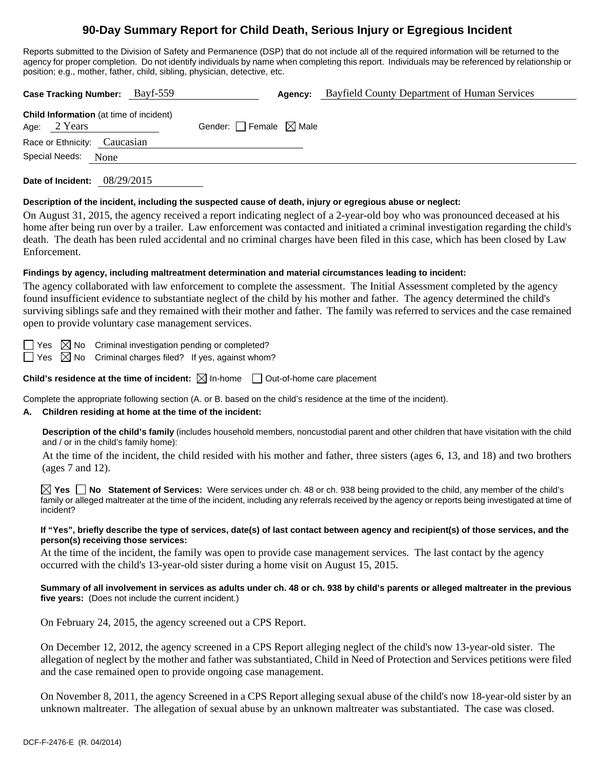# **90-Day Summary Report for Child Death, Serious Injury or Egregious Incident**

Reports submitted to the Division of Safety and Permanence (DSP) that do not include all of the required information will be returned to the agency for proper completion. Do not identify individuals by name when completing this report. Individuals may be referenced by relationship or position; e.g., mother, father, child, sibling, physician, detective, etc.

| <b>Child Information</b> (at time of incident)         |                                 |  |
|--------------------------------------------------------|---------------------------------|--|
| Age: $2$ Years                                         | Gender: Female $\boxtimes$ Male |  |
| Race or Ethnicity: Caucasian<br>Special Needs:<br>None |                                 |  |

**Date of Incident:** 08/29/2015

#### **Description of the incident, including the suspected cause of death, injury or egregious abuse or neglect:**

On August 31, 2015, the agency received a report indicating neglect of a 2-year-old boy who was pronounced deceased at his home after being run over by a trailer. Law enforcement was contacted and initiated a criminal investigation regarding the child's death. The death has been ruled accidental and no criminal charges have been filed in this case, which has been closed by Law Enforcement.

## **Findings by agency, including maltreatment determination and material circumstances leading to incident:**

The agency collaborated with law enforcement to complete the assessment. The Initial Assessment completed by the agency found insufficient evidence to substantiate neglect of the child by his mother and father. The agency determined the child's surviving siblings safe and they remained with their mother and father. The family was referred to services and the case remained open to provide voluntary case management services.

 $\Box$  Yes  $\boxtimes$  No Criminal investigation pending or completed?

 $\Box$  Yes  $\boxtimes$  No Criminal charges filed? If yes, against whom?

**Child's residence at the time of incident:**  $\boxtimes$  In-home  $\Box$  Out-of-home care placement

Complete the appropriate following section (A. or B. based on the child's residence at the time of the incident).

## **A. Children residing at home at the time of the incident:**

**Description of the child's family** (includes household members, noncustodial parent and other children that have visitation with the child and / or in the child's family home):

 At the time of the incident, the child resided with his mother and father, three sisters (ages 6, 13, and 18) and two brothers (ages 7 and 12).

**Yes No Statement of Services:** Were services under ch. 48 or ch. 938 being provided to the child, any member of the child's family or alleged maltreater at the time of the incident, including any referrals received by the agency or reports being investigated at time of incident?

#### **If "Yes", briefly describe the type of services, date(s) of last contact between agency and recipient(s) of those services, and the person(s) receiving those services:**

At the time of the incident, the family was open to provide case management services. The last contact by the agency occurred with the child's 13-year-old sister during a home visit on August 15, 2015.

#### **Summary of all involvement in services as adults under ch. 48 or ch. 938 by child's parents or alleged maltreater in the previous five years:** (Does not include the current incident.)

On February 24, 2015, the agency screened out a CPS Report.

On December 12, 2012, the agency screened in a CPS Report alleging neglect of the child's now 13-year-old sister. The allegation of neglect by the mother and father was substantiated, Child in Need of Protection and Services petitions were filed and the case remained open to provide ongoing case management.

On November 8, 2011, the agency Screened in a CPS Report alleging sexual abuse of the child's now 18-year-old sister by an unknown maltreater. The allegation of sexual abuse by an unknown maltreater was substantiated. The case was closed.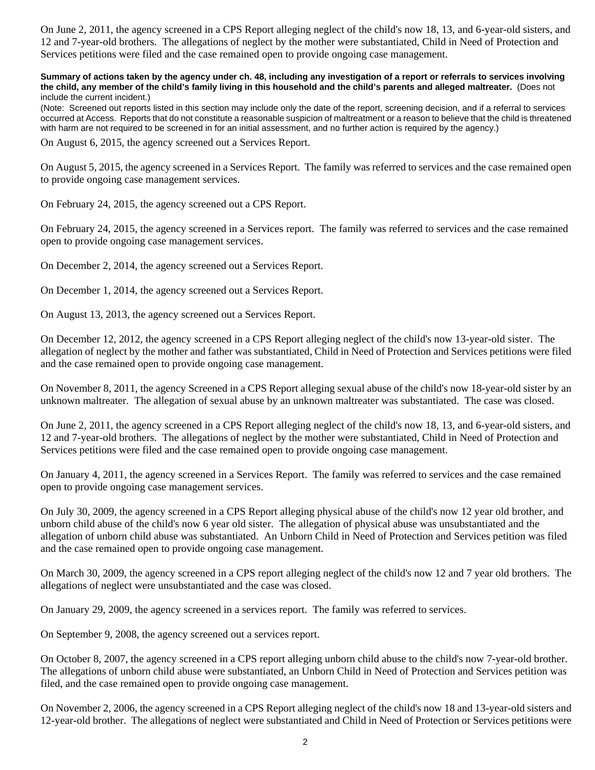On June 2, 2011, the agency screened in a CPS Report alleging neglect of the child's now 18, 13, and 6-year-old sisters, and 12 and 7-year-old brothers. The allegations of neglect by the mother were substantiated, Child in Need of Protection and Services petitions were filed and the case remained open to provide ongoing case management.

**Summary of actions taken by the agency under ch. 48, including any investigation of a report or referrals to services involving the child, any member of the child's family living in this household and the child's parents and alleged maltreater.** (Does not include the current incident.)

(Note: Screened out reports listed in this section may include only the date of the report, screening decision, and if a referral to services occurred at Access. Reports that do not constitute a reasonable suspicion of maltreatment or a reason to believe that the child is threatened with harm are not required to be screened in for an initial assessment, and no further action is required by the agency.)

On August 6, 2015, the agency screened out a Services Report.

On August 5, 2015, the agency screened in a Services Report. The family was referred to services and the case remained open to provide ongoing case management services.

On February 24, 2015, the agency screened out a CPS Report.

On February 24, 2015, the agency screened in a Services report. The family was referred to services and the case remained open to provide ongoing case management services.

On December 2, 2014, the agency screened out a Services Report.

On December 1, 2014, the agency screened out a Services Report.

On August 13, 2013, the agency screened out a Services Report.

On December 12, 2012, the agency screened in a CPS Report alleging neglect of the child's now 13-year-old sister. The allegation of neglect by the mother and father was substantiated, Child in Need of Protection and Services petitions were filed and the case remained open to provide ongoing case management.

On November 8, 2011, the agency Screened in a CPS Report alleging sexual abuse of the child's now 18-year-old sister by an unknown maltreater. The allegation of sexual abuse by an unknown maltreater was substantiated. The case was closed.

On June 2, 2011, the agency screened in a CPS Report alleging neglect of the child's now 18, 13, and 6-year-old sisters, and 12 and 7-year-old brothers. The allegations of neglect by the mother were substantiated, Child in Need of Protection and Services petitions were filed and the case remained open to provide ongoing case management.

On January 4, 2011, the agency screened in a Services Report. The family was referred to services and the case remained open to provide ongoing case management services.

On July 30, 2009, the agency screened in a CPS Report alleging physical abuse of the child's now 12 year old brother, and unborn child abuse of the child's now 6 year old sister. The allegation of physical abuse was unsubstantiated and the allegation of unborn child abuse was substantiated. An Unborn Child in Need of Protection and Services petition was filed and the case remained open to provide ongoing case management.

On March 30, 2009, the agency screened in a CPS report alleging neglect of the child's now 12 and 7 year old brothers. The allegations of neglect were unsubstantiated and the case was closed.

On January 29, 2009, the agency screened in a services report. The family was referred to services.

On September 9, 2008, the agency screened out a services report.

On October 8, 2007, the agency screened in a CPS report alleging unborn child abuse to the child's now 7-year-old brother. The allegations of unborn child abuse were substantiated, an Unborn Child in Need of Protection and Services petition was filed, and the case remained open to provide ongoing case management.

On November 2, 2006, the agency screened in a CPS Report alleging neglect of the child's now 18 and 13-year-old sisters and 12-year-old brother. The allegations of neglect were substantiated and Child in Need of Protection or Services petitions were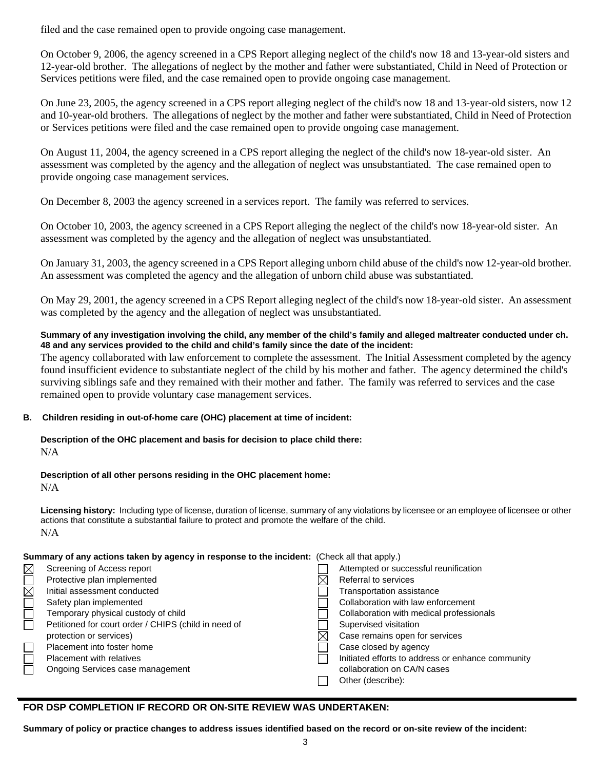filed and the case remained open to provide ongoing case management.

On October 9, 2006, the agency screened in a CPS Report alleging neglect of the child's now 18 and 13-year-old sisters and 12-year-old brother. The allegations of neglect by the mother and father were substantiated, Child in Need of Protection or Services petitions were filed, and the case remained open to provide ongoing case management.

On June 23, 2005, the agency screened in a CPS report alleging neglect of the child's now 18 and 13-year-old sisters, now 12 and 10-year-old brothers. The allegations of neglect by the mother and father were substantiated, Child in Need of Protection or Services petitions were filed and the case remained open to provide ongoing case management.

On August 11, 2004, the agency screened in a CPS report alleging the neglect of the child's now 18-year-old sister. An assessment was completed by the agency and the allegation of neglect was unsubstantiated. The case remained open to provide ongoing case management services.

On December 8, 2003 the agency screened in a services report. The family was referred to services.

On October 10, 2003, the agency screened in a CPS Report alleging the neglect of the child's now 18-year-old sister. An assessment was completed by the agency and the allegation of neglect was unsubstantiated.

On January 31, 2003, the agency screened in a CPS Report alleging unborn child abuse of the child's now 12-year-old brother. An assessment was completed the agency and the allegation of unborn child abuse was substantiated.

On May 29, 2001, the agency screened in a CPS Report alleging neglect of the child's now 18-year-old sister. An assessment was completed by the agency and the allegation of neglect was unsubstantiated.

## **Summary of any investigation involving the child, any member of the child's family and alleged maltreater conducted under ch. 48 and any services provided to the child and child's family since the date of the incident:**

The agency collaborated with law enforcement to complete the assessment. The Initial Assessment completed by the agency found insufficient evidence to substantiate neglect of the child by his mother and father. The agency determined the child's surviving siblings safe and they remained with their mother and father. The family was referred to services and the case remained open to provide voluntary case management services.

# **B. Children residing in out-of-home care (OHC) placement at time of incident:**

#### **Description of the OHC placement and basis for decision to place child there:** N/A

# **Description of all other persons residing in the OHC placement home:**

N/A

**Licensing history:** Including type of license, duration of license, summary of any violations by licensee or an employee of licensee or other actions that constitute a substantial failure to protect and promote the welfare of the child. N/A

**Summary of any actions taken by agency in response to the incident:** (Check all that apply.)

| $\boxtimes$      | Screening of Access report                           | Attempted or successful reunification             |
|------------------|------------------------------------------------------|---------------------------------------------------|
| $\overline{\Xi}$ | Protective plan implemented                          | Referral to services                              |
|                  | Initial assessment conducted                         | Transportation assistance                         |
|                  | Safety plan implemented                              | Collaboration with law enforcement                |
| $\Box$           | Temporary physical custody of child                  | Collaboration with medical professionals          |
|                  | Petitioned for court order / CHIPS (child in need of | Supervised visitation                             |
|                  | protection or services)                              | Case remains open for services                    |
| $\Box$           | Placement into foster home                           | Case closed by agency                             |
| $\Box$           | <b>Placement with relatives</b>                      | Initiated efforts to address or enhance community |
|                  | Ongoing Services case management                     | collaboration on CA/N cases                       |
|                  |                                                      | Other (describe):                                 |

# **FOR DSP COMPLETION IF RECORD OR ON-SITE REVIEW WAS UNDERTAKEN:**

**Summary of policy or practice changes to address issues identified based on the record or on-site review of the incident:**